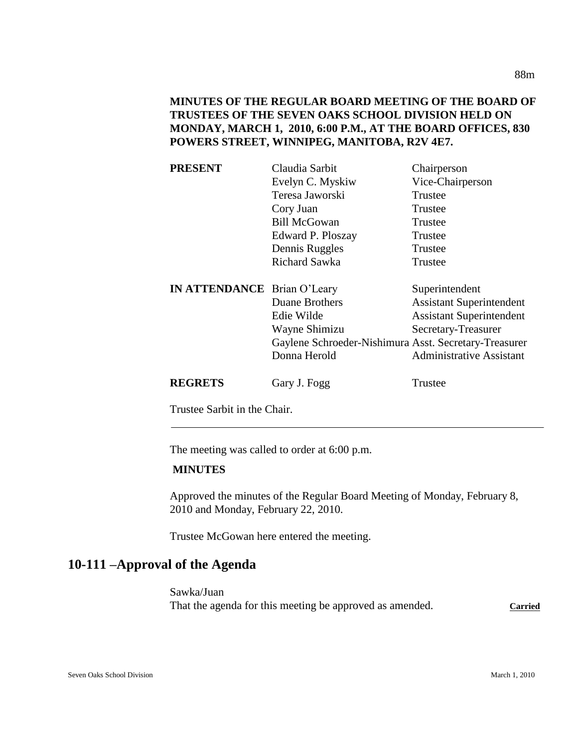**MINUTES OF THE REGULAR BOARD MEETING OF THE BOARD OF TRUSTEES OF THE SEVEN OAKS SCHOOL DIVISION HELD ON MONDAY, MARCH 1, 2010, 6:00 P.M., AT THE BOARD OFFICES, 830 POWERS STREET, WINNIPEG, MANITOBA, R2V 4E7.**

| <b>PRESENT</b>                     | Claudia Sarbit                                        | Chairperson                     |
|------------------------------------|-------------------------------------------------------|---------------------------------|
|                                    | Evelyn C. Myskiw                                      | Vice-Chairperson                |
|                                    | Teresa Jaworski                                       | Trustee                         |
|                                    | Cory Juan                                             | Trustee                         |
|                                    | <b>Bill McGowan</b>                                   | Trustee                         |
|                                    | Edward P. Ploszay                                     | Trustee                         |
|                                    | Dennis Ruggles                                        | Trustee                         |
|                                    | Richard Sawka                                         | Trustee                         |
| <b>IN ATTENDANCE</b> Brian O'Leary |                                                       | Superintendent                  |
|                                    | Duane Brothers                                        | <b>Assistant Superintendent</b> |
|                                    | Edie Wilde                                            | <b>Assistant Superintendent</b> |
|                                    | Wayne Shimizu                                         | Secretary-Treasurer             |
|                                    | Gaylene Schroeder-Nishimura Asst. Secretary-Treasurer |                                 |
|                                    | Donna Herold                                          | <b>Administrative Assistant</b> |
| <b>REGRETS</b>                     | Gary J. Fogg                                          | Trustee                         |

Trustee Sarbit in the Chair.

The meeting was called to order at 6:00 p.m.

## **MINUTES**

Approved the minutes of the Regular Board Meeting of Monday, February 8, 2010 and Monday, February 22, 2010.

Trustee McGowan here entered the meeting.

# **10-111 –Approval of the Agenda**

Sawka/Juan That the agenda for this meeting be approved as amended. Carried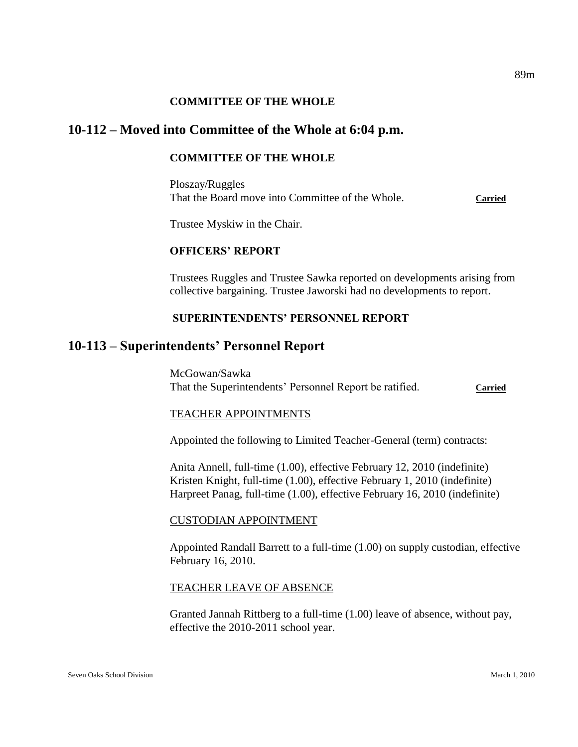### **COMMITTEE OF THE WHOLE**

## **10-112 – Moved into Committee of the Whole at 6:04 p.m.**

### **COMMITTEE OF THE WHOLE**

Ploszay/Ruggles That the Board move into Committee of the Whole. **Carried**

Trustee Myskiw in the Chair.

### **OFFICERS' REPORT**

Trustees Ruggles and Trustee Sawka reported on developments arising from collective bargaining. Trustee Jaworski had no developments to report.

### **SUPERINTENDENTS' PERSONNEL REPORT**

### **10-113 – Superintendents' Personnel Report**

McGowan/Sawka That the Superintendents' Personnel Report be ratified. **Carried**

#### TEACHER APPOINTMENTS

Appointed the following to Limited Teacher-General (term) contracts:

Anita Annell, full-time (1.00), effective February 12, 2010 (indefinite) Kristen Knight, full-time (1.00), effective February 1, 2010 (indefinite) Harpreet Panag, full-time (1.00), effective February 16, 2010 (indefinite)

#### CUSTODIAN APPOINTMENT

Appointed Randall Barrett to a full-time (1.00) on supply custodian, effective February 16, 2010.

#### TEACHER LEAVE OF ABSENCE

Granted Jannah Rittberg to a full-time (1.00) leave of absence, without pay, effective the 2010-2011 school year.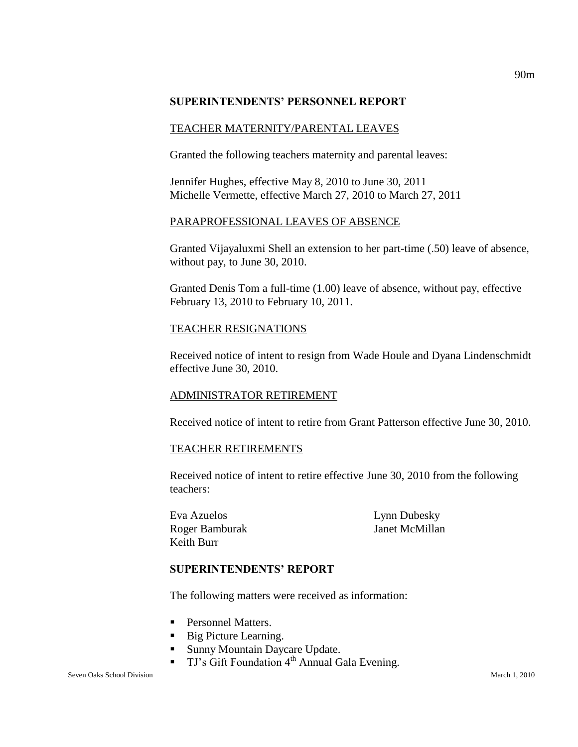### **SUPERINTENDENTS' PERSONNEL REPORT**

### TEACHER MATERNITY/PARENTAL LEAVES

Granted the following teachers maternity and parental leaves:

Jennifer Hughes, effective May 8, 2010 to June 30, 2011 Michelle Vermette, effective March 27, 2010 to March 27, 2011

### PARAPROFESSIONAL LEAVES OF ABSENCE

Granted Vijayaluxmi Shell an extension to her part-time (.50) leave of absence, without pay, to June 30, 2010.

Granted Denis Tom a full-time (1.00) leave of absence, without pay, effective February 13, 2010 to February 10, 2011.

### TEACHER RESIGNATIONS

Received notice of intent to resign from Wade Houle and Dyana Lindenschmidt effective June 30, 2010.

### ADMINISTRATOR RETIREMENT

Received notice of intent to retire from Grant Patterson effective June 30, 2010.

### TEACHER RETIREMENTS

Received notice of intent to retire effective June 30, 2010 from the following teachers:

Eva Azuelos Lynn Dubesky Roger Bamburak Janet McMillan Keith Burr

### **SUPERINTENDENTS' REPORT**

The following matters were received as information:

- **Personnel Matters.**
- Big Picture Learning.
- **Sunny Mountain Daycare Update.**
- **TJ's Gift Foundation 4<sup>th</sup> Annual Gala Evening.**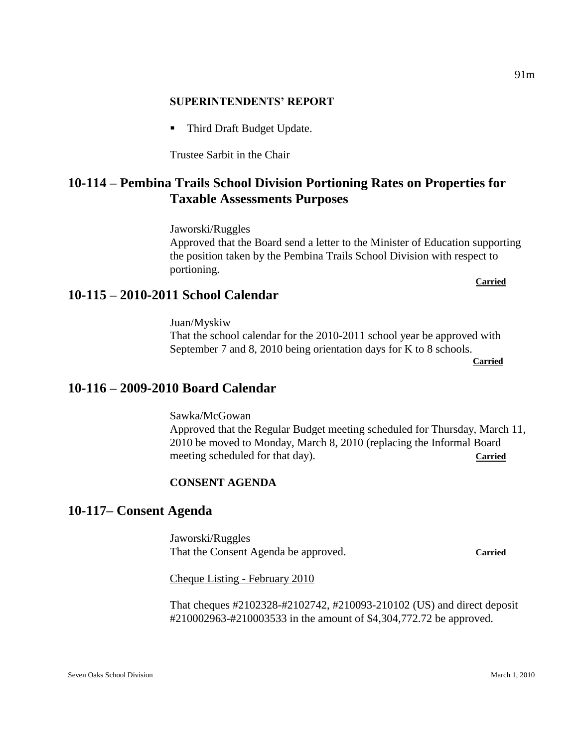### **SUPERINTENDENTS' REPORT**

■ Third Draft Budget Update.

Trustee Sarbit in the Chair

# **10-114 – Pembina Trails School Division Portioning Rates on Properties for Taxable Assessments Purposes**

Jaworski/Ruggles

Approved that the Board send a letter to the Minister of Education supporting the position taken by the Pembina Trails School Division with respect to portioning. **Carried** 

# **10-115 – 2010-2011 School Calendar**

Juan/Myskiw That the school calendar for the 2010-2011 school year be approved with September 7 and 8, 2010 being orientation days for K to 8 schools.

**Carried** 

# **10-116 – 2009-2010 Board Calendar**

Sawka/McGowan Approved that the Regular Budget meeting scheduled for Thursday, March 11, 2010 be moved to Monday, March 8, 2010 (replacing the Informal Board meeting scheduled for that day). **Carried** 

### **CONSENT AGENDA**

# **10-117– Consent Agenda**

Jaworski/Ruggles That the Consent Agenda be approved. **Carried**

Cheque Listing - February 2010

That cheques #2102328-#2102742, #210093-210102 (US) and direct deposit #210002963-#210003533 in the amount of \$4,304,772.72 be approved.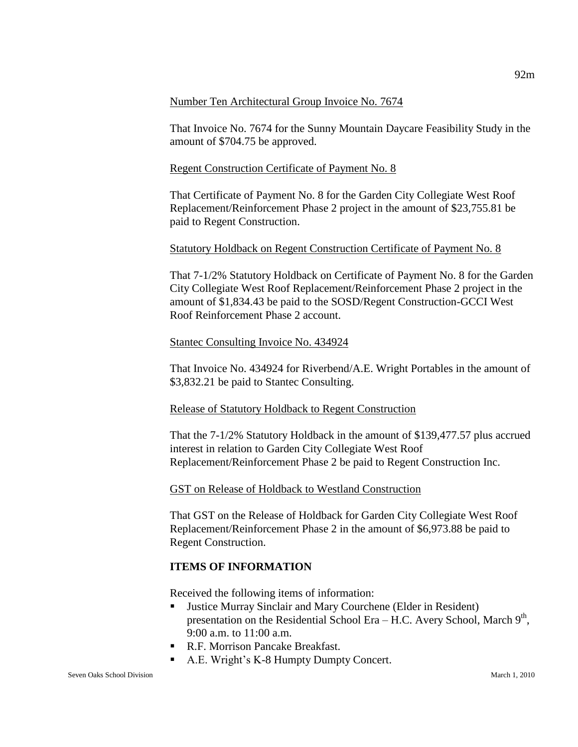#### Number Ten Architectural Group Invoice No. 7674

That Invoice No. 7674 for the Sunny Mountain Daycare Feasibility Study in the amount of \$704.75 be approved.

### Regent Construction Certificate of Payment No. 8

That Certificate of Payment No. 8 for the Garden City Collegiate West Roof Replacement/Reinforcement Phase 2 project in the amount of \$23,755.81 be paid to Regent Construction.

### Statutory Holdback on Regent Construction Certificate of Payment No. 8

That 7-1/2% Statutory Holdback on Certificate of Payment No. 8 for the Garden City Collegiate West Roof Replacement/Reinforcement Phase 2 project in the amount of \$1,834.43 be paid to the SOSD/Regent Construction-GCCI West Roof Reinforcement Phase 2 account.

### Stantec Consulting Invoice No. 434924

That Invoice No. 434924 for Riverbend/A.E. Wright Portables in the amount of \$3,832.21 be paid to Stantec Consulting.

### Release of Statutory Holdback to Regent Construction

That the 7-1/2% Statutory Holdback in the amount of \$139,477.57 plus accrued interest in relation to Garden City Collegiate West Roof Replacement/Reinforcement Phase 2 be paid to Regent Construction Inc.

### GST on Release of Holdback to Westland Construction

That GST on the Release of Holdback for Garden City Collegiate West Roof Replacement/Reinforcement Phase 2 in the amount of \$6,973.88 be paid to Regent Construction.

### **ITEMS OF INFORMATION**

Received the following items of information:

- Justice Murray Sinclair and Mary Courchene (Elder in Resident) presentation on the Residential School Era – H.C. Avery School, March  $9<sup>th</sup>$ , 9:00 a.m. to 11:00 a.m.
- R.F. Morrison Pancake Breakfast.
- A.E. Wright's K-8 Humpty Dumpty Concert.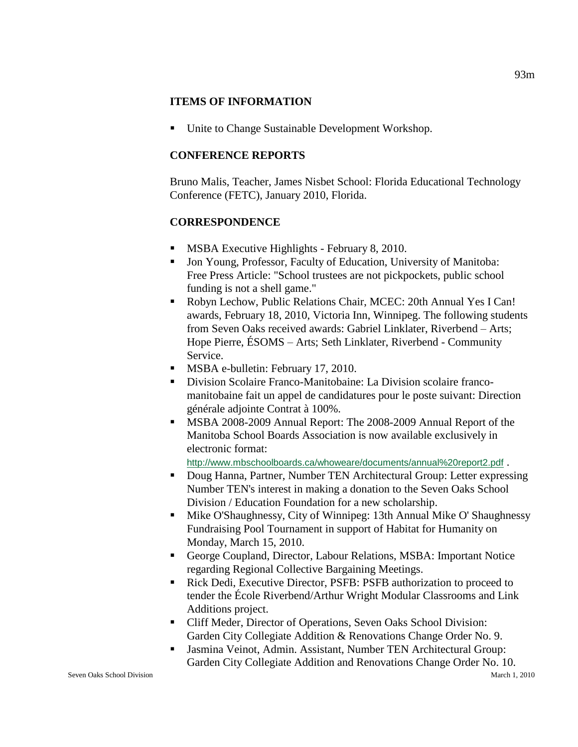### **ITEMS OF INFORMATION**

■ Unite to Change Sustainable Development Workshop.

## **CONFERENCE REPORTS**

Bruno Malis, Teacher, James Nisbet School: Florida Educational Technology Conference (FETC), January 2010, Florida.

## **CORRESPONDENCE**

- **MSBA Executive Highlights February 8, 2010.**
- Jon Young, Professor, Faculty of Education, University of Manitoba: Free Press Article: "School trustees are not pickpockets, public school funding is not a shell game."
- Robyn Lechow, Public Relations Chair, MCEC: 20th Annual Yes I Can! awards, February 18, 2010, Victoria Inn, Winnipeg. The following students from Seven Oaks received awards: Gabriel Linklater, Riverbend – Arts; Hope Pierre, ÉSOMS – Arts; Seth Linklater, Riverbend - Community Service.
- **MSBA e-bulletin: February 17, 2010.**
- Division Scolaire Franco-Manitobaine: La Division scolaire francomanitobaine fait un appel de candidatures pour le poste suivant: Direction générale adjointe Contrat à 100%.
- **MSBA 2008-2009 Annual Report: The 2008-2009 Annual Report of the** Manitoba School Boards Association is now available exclusively in electronic format:

<http://www.mbschoolboards.ca/whoweare/documents/annual%20report2.pdf> .

- Doug Hanna, Partner, Number TEN Architectural Group: Letter expressing Number TEN's interest in making a donation to the Seven Oaks School Division / Education Foundation for a new scholarship.
- Mike O'Shaughnessy, City of Winnipeg: 13th Annual Mike O' Shaughnessy Fundraising Pool Tournament in support of Habitat for Humanity on Monday, March 15, 2010.
- George Coupland, Director, Labour Relations, MSBA: Important Notice regarding Regional Collective Bargaining Meetings.
- Rick Dedi, Executive Director, PSFB: PSFB authorization to proceed to tender the École Riverbend/Arthur Wright Modular Classrooms and Link Additions project.
- Cliff Meder, Director of Operations, Seven Oaks School Division: Garden City Collegiate Addition & Renovations Change Order No. 9.
- Jasmina Veinot, Admin. Assistant, Number TEN Architectural Group: Garden City Collegiate Addition and Renovations Change Order No. 10.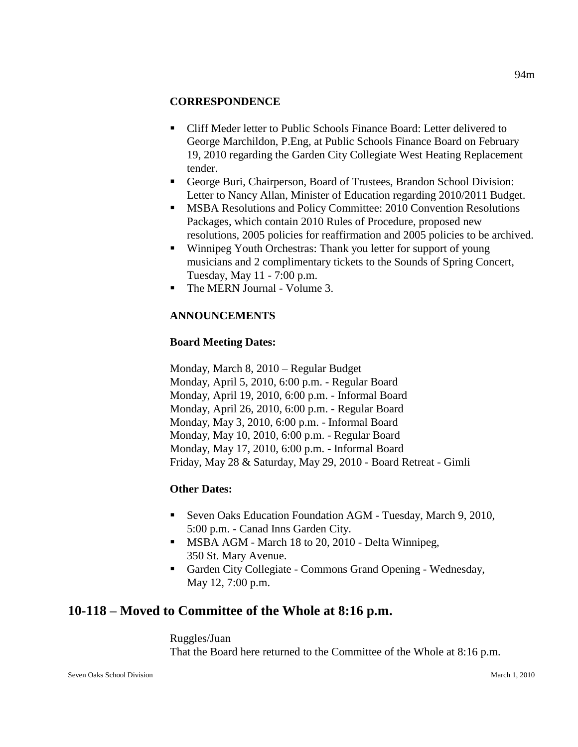### **CORRESPONDENCE**

- Cliff Meder letter to Public Schools Finance Board: Letter delivered to George Marchildon, P.Eng, at Public Schools Finance Board on February 19, 2010 regarding the Garden City Collegiate West Heating Replacement tender.
- George Buri, Chairperson, Board of Trustees, Brandon School Division: Letter to Nancy Allan, Minister of Education regarding 2010/2011 Budget.
- **MSBA Resolutions and Policy Committee: 2010 Convention Resolutions** Packages, which contain 2010 Rules of Procedure, proposed new resolutions, 2005 policies for reaffirmation and 2005 policies to be archived.
- Winnipeg Youth Orchestras: Thank you letter for support of young musicians and 2 complimentary tickets to the Sounds of Spring Concert, Tuesday, May 11 - 7:00 p.m.
- The MERN Journal Volume 3.

# **ANNOUNCEMENTS**

# **Board Meeting Dates:**

Monday, March 8, 2010 – Regular Budget Monday, April 5, 2010, 6:00 p.m. - Regular Board Monday, April 19, 2010, 6:00 p.m. - Informal Board Monday, April 26, 2010, 6:00 p.m. - Regular Board Monday, May 3, 2010, 6:00 p.m. - Informal Board Monday, May 10, 2010, 6:00 p.m. - Regular Board Monday, May 17, 2010, 6:00 p.m. - Informal Board Friday, May 28 & Saturday, May 29, 2010 - Board Retreat - Gimli

# **Other Dates:**

- Seven Oaks Education Foundation AGM Tuesday, March 9, 2010, 5:00 p.m. - Canad Inns Garden City.
- **MSBA AGM March 18 to 20, 2010 Delta Winnipeg,** 350 St. Mary Avenue.
- Garden City Collegiate Commons Grand Opening Wednesday, May 12, 7:00 p.m.

# **10-118 – Moved to Committee of the Whole at 8:16 p.m.**

Ruggles/Juan That the Board here returned to the Committee of the Whole at 8:16 p.m. 94m